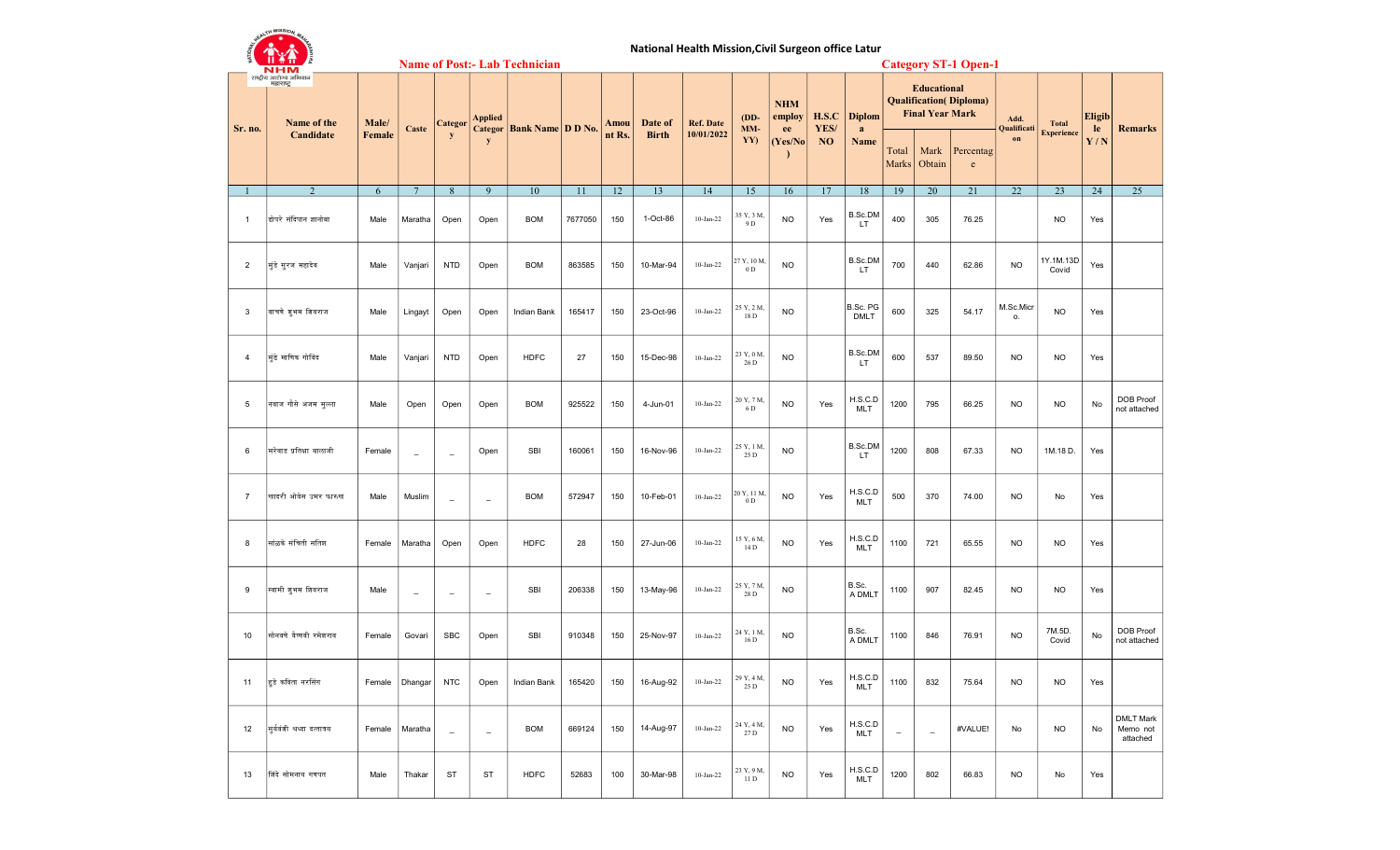|                | <b>KEALTH MISSION, M.</b>                                   |        |                          |                          |                          | <b>Name of Post:- Lab Technician</b> |         |        | National Health Mission, Civil Surgeon office Latur |                  |                               |                      |                   |                         |                          |                                              | <b>Category ST-1 Open-1</b>    |                              |                    |               |                                          |
|----------------|-------------------------------------------------------------|--------|--------------------------|--------------------------|--------------------------|--------------------------------------|---------|--------|-----------------------------------------------------|------------------|-------------------------------|----------------------|-------------------|-------------------------|--------------------------|----------------------------------------------|--------------------------------|------------------------------|--------------------|---------------|------------------------------------------|
|                | NHM<br>राष्ट्रीय आरोग्य अभियान<br>महाराष्ट्र<br>Name of the | Male/  |                          | <b>Categor</b>           | <b>Applied</b>           |                                      |         | Amou   | Date of                                             | <b>Ref. Date</b> | $(DD-$                        | <b>NHM</b><br>employ | H.S.C             | <b>Diplom</b>           |                          | <b>Educational</b><br><b>Final Year Mark</b> | <b>Qualification</b> (Diploma) | Add.                         | <b>Total</b>       | <b>Eligib</b> |                                          |
| Sr. no.        | Candidate                                                   | Female | Caste                    | y                        | <b>Categor</b><br>y      | <b>Bank Name D D No.</b>             |         | nt Rs. | <b>Birth</b>                                        | 10/01/2022       | MM-<br>YY)                    | ee<br>(Yes/No)       | YES/<br><b>NO</b> | a<br>Name               | Total<br>Marks           | Mark<br>Obtain                               | Percentag<br>e                 | Qualificati<br>$\mathbf{on}$ | <b>Experience</b>  | le<br>Y/N     | <b>Remarks</b>                           |
|                | $\overline{2}$                                              | 6      | $7\phantom{.0}$          | 8                        | 9                        | 10                                   | 11      | 12     | 13                                                  | 14               | 15                            | 16                   | 17                | 18                      | 19                       | 20                                           | 21                             | 22                           | 23                 | 24            | 25                                       |
| $\mathbf{1}$   | ढोपरे संदिपान ज्ञानोबा                                      | Male   | Maratha                  | Open                     | Open                     | <b>BOM</b>                           | 7677050 | 150    | 1-Oct-86                                            | $10$ -Jan-22     | 35 Y, 3 M,<br>9 D             | <b>NO</b>            | Yes               | B.Sc.DM<br>LT           | 400                      | 305                                          | 76.25                          |                              | <b>NO</b>          | Yes           |                                          |
| $\overline{2}$ | मुंडे सुरज महादेव                                           | Male   | Vanjari                  | <b>NTD</b>               | Open                     | <b>BOM</b>                           | 863585  | 150    | 10-Mar-94                                           | $10-Jan-22$      | 27 Y, 10 M,<br>0 <sub>D</sub> | <b>NO</b>            |                   | B.Sc.DM<br>LT           | 700                      | 440                                          | 62.86                          | <b>NO</b>                    | 1Y.1M.13D<br>Covid | Yes           |                                          |
| 3              | वाचणे शुभम शिवराज                                           | Male   | Lingayt                  | Open                     | Open                     | Indian Bank                          | 165417  | 150    | 23-Oct-96                                           | $10-Jan-22$      | 25 Y, 2 M,<br>18 D            | <b>NO</b>            |                   | B.Sc. PG<br><b>DMLT</b> | 600                      | 325                                          | 54.17                          | M.Sc.Micr<br>0.              | <b>NO</b>          | Yes           |                                          |
| 4              | मुंढे माणिक गोविंद                                          | Male   | Vanjari                  | NTD                      | Open                     | <b>HDFC</b>                          | 27      | 150    | 15-Dec-98                                           | $10-Jan-22$      | 23 Y, 0 M,<br>26 D            | <b>NO</b>            |                   | <b>B.Sc.DM</b><br>LT.   | 600                      | 537                                          | 89.50                          | <b>NO</b>                    | <b>NO</b>          | Yes           |                                          |
| 5              | नवाज गौसे अजम मुल्ला                                        | Male   | Open                     | Open                     | Open                     | <b>BOM</b>                           | 925522  | 150    | 4-Jun-01                                            | $10-Jan-22$      | 20 Y, 7 M,<br>6 D             | <b>NO</b>            | Yes               | H.S.C.D<br><b>MLT</b>   | 1200                     | 795                                          | 66.25                          | <b>NO</b>                    | <b>NO</b>          | No            | DOB Proof<br>not attached                |
| 6              | मरेवाड प्रतिक्षा बालाजी                                     | Female | $\overline{\phantom{m}}$ | $\equiv$                 | Open                     | <b>SBI</b>                           | 160061  | 150    | 16-Nov-96                                           | $10-Jan-22$      | 25 Y, 1 M,<br>25 D            | <b>NO</b>            |                   | <b>B.Sc.DM</b><br>LT    | 1200                     | 808                                          | 67.33                          | <b>NO</b>                    | 1M.18 D.           | Yes           |                                          |
| $\overline{7}$ | खादरी ओवेस उमर फारुख                                        | Male   | Muslim                   | $\equiv$                 | $\overline{\phantom{0}}$ | <b>BOM</b>                           | 572947  | 150    | 10-Feb-01                                           | $10-Jan-22$      | 20 Y, 11 M,<br>0 <sub>D</sub> | <b>NO</b>            | Yes               | H.S.C.D<br><b>MLT</b>   | 500                      | 370                                          | 74.00                          | <b>NO</b>                    | No                 | Yes           |                                          |
| 8              | सांळके संचिती सतिश                                          | Female | Maratha                  | Open                     | Open                     | <b>HDFC</b>                          | 28      | 150    | 27-Jun-06                                           | $10-Jan-22$      | 15 Y, 6 M,<br>14 D            | <b>NO</b>            | Yes               | H.S.C.D<br>MLT          | 1100                     | 721                                          | 65.55                          | <b>NO</b>                    | <b>NO</b>          | Yes           |                                          |
| 9              | स्वामी शुभम शिवराज                                          | Male   | $\overline{\phantom{m}}$ | $\overline{\phantom{a}}$ | $\qquad \qquad -$        | <b>SBI</b>                           | 206338  | 150    | 13-May-96                                           | $10-Jan-22$      | 25 Y, 7 M,<br>28 D            | <b>NO</b>            |                   | B.Sc.<br>A DMLT         | 1100                     | 907                                          | 82.45                          | <b>NO</b>                    | <b>NO</b>          | Yes           |                                          |
| 10             | सोनवणे वैष्णवी रमेशराव                                      | Female | Govari                   | <b>SBC</b>               | Open                     | <b>SBI</b>                           | 910348  | 150    | 25-Nov-97                                           | $10-Jan-22$      | 24 Y, 1 M,<br>16 D            | <b>NO</b>            |                   | B.Sc.<br>A DMLT         | 1100                     | 846                                          | 76.91                          | <b>NO</b>                    | 7M.5D.<br>Covid    | No            | DOB Proof<br>not attached                |
| 11             | हुडे कविता नरसिंग                                           | Female | Dhangar                  | <b>NTC</b>               | Open                     | Indian Bank                          | 165420  | 150    | 16-Aug-92                                           | $10-Jan-22$      | 29 Y, 4 M,<br>25 D            | <b>NO</b>            | Yes               | H.S.C.D<br><b>MLT</b>   | 1100                     | 832                                          | 75.64                          | <b>NO</b>                    | <b>NO</b>          | Yes           |                                          |
| 12             | सूर्यवंशी श्रध्दा दत्तात्रय                                 | Female | Maratha                  | $\equiv$                 | $\overline{\phantom{a}}$ | <b>BOM</b>                           | 669124  | 150    | 14-Aug-97                                           | $10$ -Jan-22     | 24 Y, 4 M,<br>27 D            | <b>NO</b>            | Yes               | H.S.C.D<br>MLT          | $\overline{\phantom{a}}$ | $\overline{\phantom{a}}$                     | #VALUE!                        | No                           | <b>NO</b>          | No            | <b>DMLT Mark</b><br>Memo not<br>attached |
| 13             | श्रिंदे सोमनाथ गणपत                                         | Male   | Thakar                   | ST                       | ST                       | <b>HDFC</b>                          | 52683   | 100    | 30-Mar-98                                           | $10-Jan-22$      | 23 Y, 9 M,<br>11 D            | <b>NO</b>            | Yes               | H.S.C.D<br><b>MLT</b>   | 1200                     | 802                                          | 66.83                          | <b>NO</b>                    | No                 | Yes           |                                          |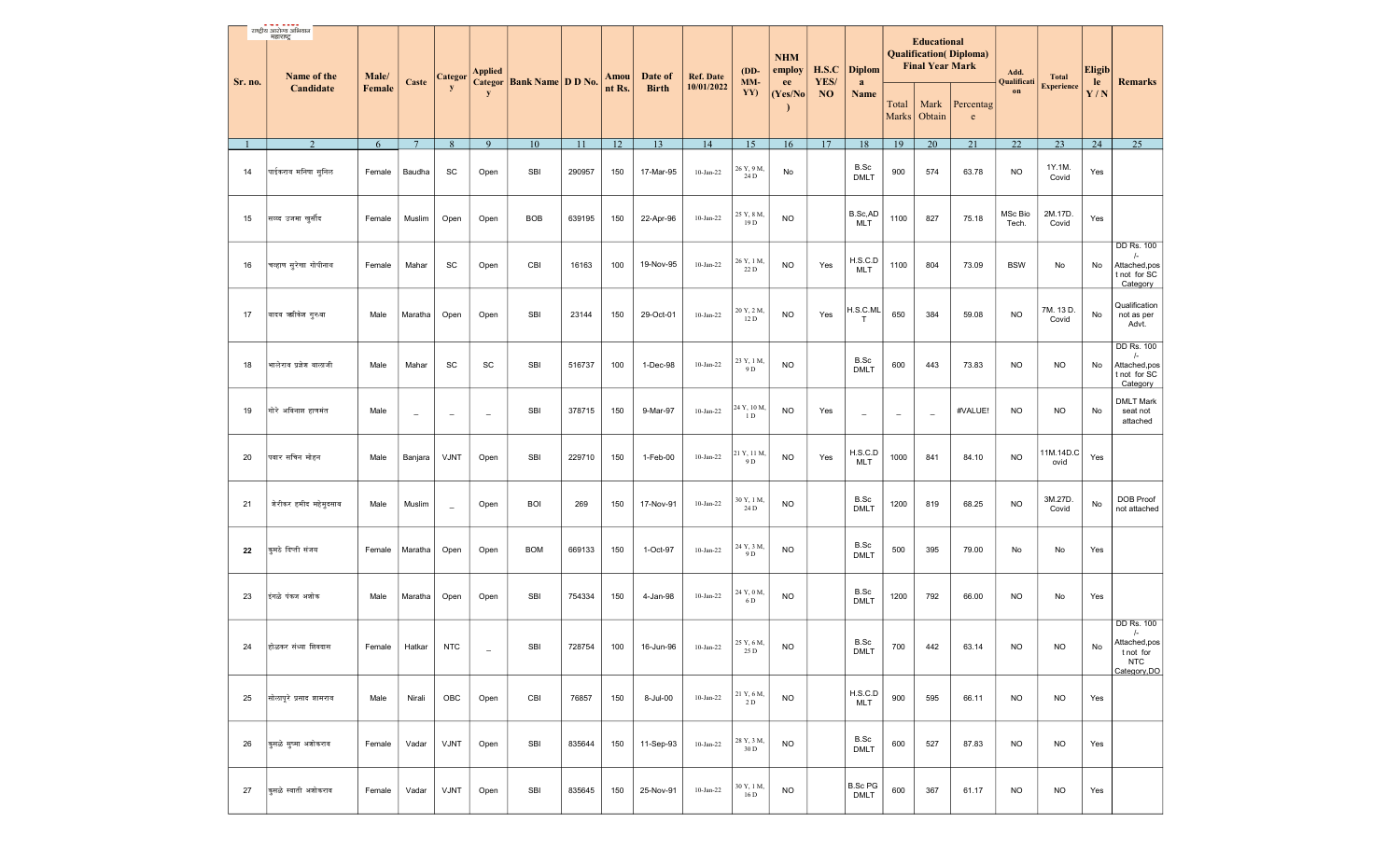|         | राष्ट्रीय आरोज्य अभियान<br>महाराष्ट्र<br>Name of the | Male/  |          | <b>Categor</b>           | <b>Applied</b>           | Categor Bank Name D D No. |        | Amou   | Date of                        | <b>Ref. Date</b>  | $(DD-$<br>MM-                 | <b>NHM</b><br>employ           | H.S.C      | <b>Diplom</b>                 |                          | <b>Educational</b><br><b>Final Year Mark</b> | <b>Qualification</b> ( <i>Diploma</i> )                 | Add.<br>Qualificati | <b>Total</b>      | <b>Eligib</b> |                                                                                            |
|---------|------------------------------------------------------|--------|----------|--------------------------|--------------------------|---------------------------|--------|--------|--------------------------------|-------------------|-------------------------------|--------------------------------|------------|-------------------------------|--------------------------|----------------------------------------------|---------------------------------------------------------|---------------------|-------------------|---------------|--------------------------------------------------------------------------------------------|
| Sr. no. | Candidate                                            | Female | Caste    | y                        | $\mathbf{y}$             |                           |        | nt Rs. | <b>Birth</b>                   | 10/01/2022        | YY)                           | ee<br>(Yes/No)<br>$\mathbf{r}$ | YES/<br>NO | a<br>Name                     | Total<br>Marks           | Mark<br>Obtain                               | Percentag<br>$\mathbf{e}% _{0}\left( \mathbf{1}\right)$ | on                  | <b>Experience</b> | le<br>Y/N     | <b>Remarks</b>                                                                             |
|         | 2                                                    | 6      | 7        | $8\phantom{.}$           | 9                        | 10                        | 11     | 12     | 13                             | 14                | 15                            | 16                             | 17         | 18                            | 19                       | 20                                           | 21                                                      | 22                  | 23                | 24            | 25                                                                                         |
| 14      | पाईकराव मनिषा सुनिल                                  | Female | Baudha   | SC                       | Open                     | SBI                       | 290957 | 150    | 17-Mar-95                      | $10 - Jan-22$     | 26 Y, 9 M,<br>24 D            | No                             |            | B.Sc<br><b>DMLT</b>           | 900                      | 574                                          | 63.78                                                   | <b>NO</b>           | 1Y.1M.<br>Covid   | Yes           |                                                                                            |
| 15      | सय्य्द उजमा खुर्सीद                                  | Female | Muslim   | Open                     | Open                     | <b>BOB</b>                | 639195 | 150    | 22-Apr-96                      | $10$ -Jan-22      | 25 Y, 8 M,<br>19 D            | <b>NO</b>                      |            | B.Sc,AD<br><b>MLT</b>         | 1100                     | 827                                          | 75.18                                                   | MSc Bio<br>Tech.    | 2M.17D.<br>Covid  | Yes           |                                                                                            |
| 16      | चव्हाण सुरेखा गोपीनाथ                                | Female | Mahar    | SC                       | Open                     | CBI                       | 16163  | 100    | 19-Nov-95                      | $10$ -Jan-22      | 26 Y, 1 M,<br>22 D            | <b>NO</b>                      | Yes        | H.S.C.D<br><b>MLT</b>         | 1100                     | 804                                          | 73.09                                                   | <b>BSW</b>          | No                | No            | <b>DD Rs. 100</b><br>/-<br>Attached,pos<br>t not for SC<br>Category                        |
| 17      | यादव ऋगिकेश गुरुवा                                   | Male   | Maratha  | Open                     | Open                     | SBI                       | 23144  | 150    | 29-Oct-01                      | $10$ -Jan-22      | 20 Y, 2 M,<br>12 D            | <b>NO</b>                      | Yes        | H.S.C.ML<br>Т                 | 650                      | 384                                          | 59.08                                                   | <b>NO</b>           | 7M. 13D.<br>Covid | No            | Qualification<br>not as per<br>Advt.                                                       |
| 18      | भालेराव प्रज्ञेश बालाजी                              | Male   | Mahar    | SC                       | SC                       | SBI                       | 516737 | 100    | 1-Dec-98                       | $10$ -Jan-22      | 23 Y, 1 M,<br>9 D             | <b>NO</b>                      |            | B.Sc<br><b>DMLT</b>           | 600                      | 443                                          | 73.83                                                   | <b>NO</b>           | <b>NO</b>         | No            | <b>DD Rs. 100</b><br>$\sqrt{-}$<br>Attached,pos<br>t not for SC<br>Category                |
| 19      | गोरे अविनाश हाणमंत                                   | Male   | $\equiv$ | $\overline{\phantom{m}}$ | $\equiv$                 | SBI                       | 378715 | 150    | 9-Mar-97                       | $10 - Jan-22$     | 24 Y, 10 M,<br>1 <sub>D</sub> | <b>NO</b>                      | Yes        | $\overline{\phantom{a}}$      | $\overline{\phantom{a}}$ | $\equiv$                                     | #VALUE!                                                 | <b>NO</b>           | <b>NO</b>         | No            | <b>DMLT Mark</b><br>seat not<br>attached                                                   |
| 20      | पवार सचिन मोहन                                       | Male   | Banjara  | <b>VJNT</b>              | Open                     | SBI                       | 229710 | 150    | 1-Feb-00                       | $10$ -Jan-22 $\,$ | 21 Y, 11 M,<br>9 D            | <b>NO</b>                      | Yes        | H.S.C.D<br>MLT                | 1000                     | 841                                          | 84.10                                                   | <b>NO</b>           | 11M.14D.C<br>ovid | Yes           |                                                                                            |
| 21      | शेरीकर हमीद महेमुदसाब                                | Male   | Muslim   | $=$                      | Open                     | <b>BOI</b>                | 269    | 150    | 17-Nov-91                      | $10$ -Jan-22      | 30 Y, 1 M,<br>24 D            | <b>NO</b>                      |            | B.Sc<br><b>DMLT</b>           | 1200                     | 819                                          | 68.25                                                   | <b>NO</b>           | 3M.27D.<br>Covid  | No            | DOB Proof<br>not attached                                                                  |
| 22      | कुमठे दिप्ती संजय                                    | Female | Maratha  | Open                     | Open                     | <b>BOM</b>                | 669133 | 150    | 1-Oct-97                       | $10$ -Jan-22      | 24 Y, 3 M,<br>9 D             | <b>NO</b>                      |            | B.Sc<br><b>DMLT</b>           | 500                      | 395                                          | 79.00                                                   | No                  | No                | Yes           |                                                                                            |
| 23      | इंगळे पंकज अशोक                                      | Male   | Maratha  | Open                     | Open                     | SBI                       | 754334 | 150    | 4-Jan-98                       | 10-Jan-22         | 24 Y, 0 M,<br>6 D             | <b>NO</b>                      |            | B.Sc<br><b>DMLT</b>           | 1200                     | 792                                          | 66.00                                                   | <b>NO</b>           | No                | Yes           |                                                                                            |
| 24      | होळकर संध्या शिवदास                                  | Female | Hatkar   | <b>NTC</b>               | $\overline{\phantom{m}}$ | <b>SBI</b>                |        |        | 728754 100 16-Jun-96 10-Jan-22 |                   | 25 Y, 6 M,<br>25 D            | <b>NO</b>                      |            | B.Sc<br><b>DMLT</b>           | 700                      | 442                                          | 63.14                                                   | <b>NO</b>           | <b>NO</b>         | No            | <b>DD Rs. 100</b><br>$\sqrt{-}$<br>Attached, pos<br>t not for<br><b>NTC</b><br>Category.DO |
| 25      | सोलापूरे प्रसाद शामराव                               | Male   | Nirali   | OBC                      | Open                     | CBI                       | 76857  | 150    | 8-Jul-00                       | $10$ -Jan-22      | 21 Y, 6 M,<br>2 D             | <b>NO</b>                      |            | H.S.C.D<br><b>MLT</b>         | 900                      | 595                                          | 66.11                                                   | NO.                 | <b>NO</b>         | Yes           |                                                                                            |
| 26      | कुसळे सुष्मा अशोकराव                                 | Female | Vadar    | VJNT                     | Open                     | SBI                       | 835644 | 150    | 11-Sep-93                      | $10-Jan-22$       | 28 Y, 3 M,<br>30 D            | <b>NO</b>                      |            | B.Sc<br><b>DMLT</b>           | 600                      | 527                                          | 87.83                                                   | <b>NO</b>           | <b>NO</b>         | Yes           |                                                                                            |
| 27      | कुसळे स्वाती अशोकराव                                 | Female | Vadar    | VJNT                     | Open                     | SBI                       | 835645 | 150    | 25-Nov-91                      | 10-Jan-22         | 30 Y, 1 M,<br>16 D            | <b>NO</b>                      |            | <b>B.Sc PG</b><br><b>DMLT</b> | 600                      | 367                                          | 61.17                                                   | <b>NO</b>           | <b>NO</b>         | Yes           |                                                                                            |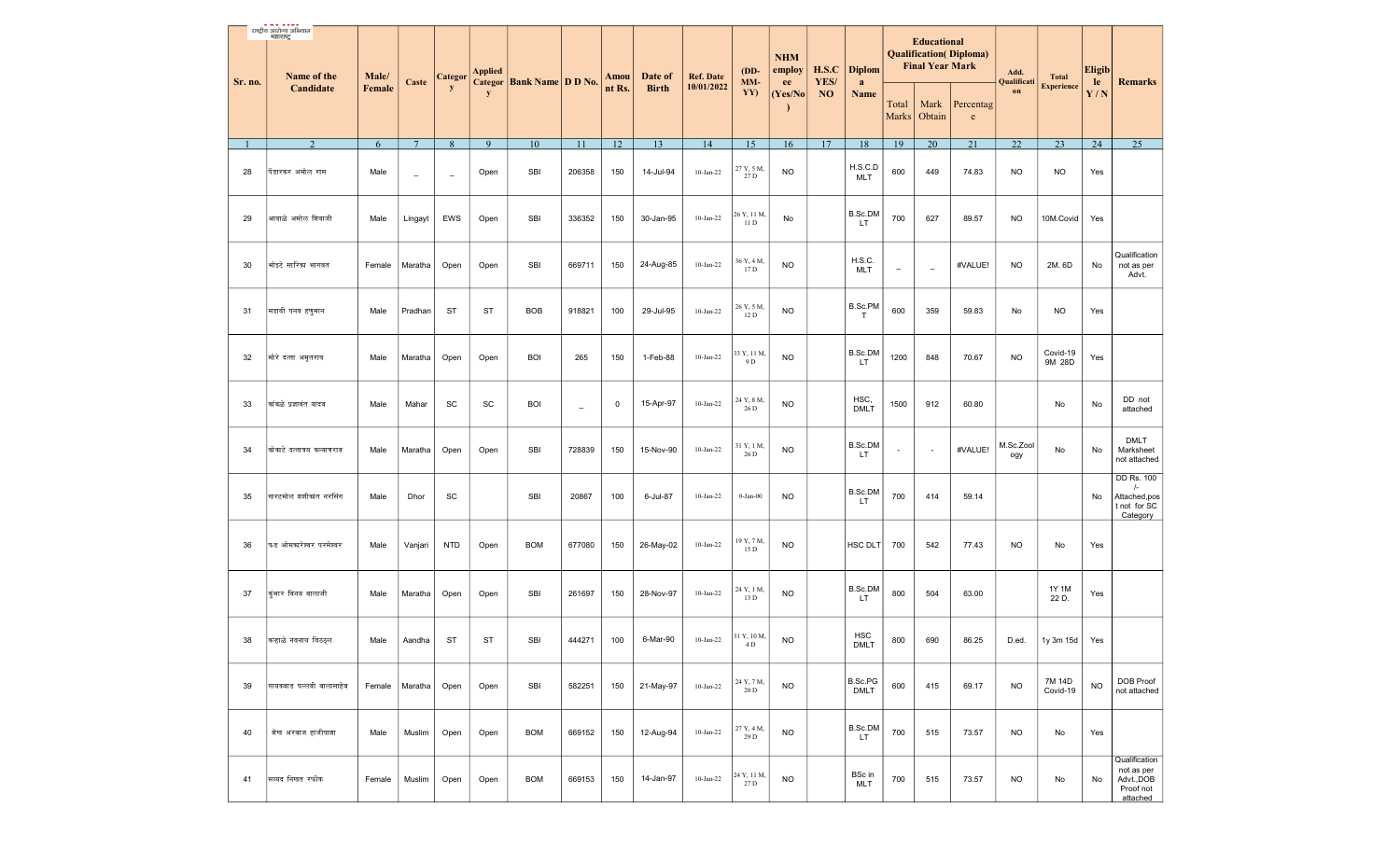|         | राष्ट्रीय आरोग्य अभियान<br>महाराष्ट्र<br>Name of the | Male/  |                 | Categor                  | <b>Applied</b> |                               |                          | Amou   | Date of      | <b>Ref. Date</b> | $(DD-$<br>MM-       | <b>NHM</b><br>employ | H.S.C                  | <b>Diplom</b>             |                          | <b>Educational</b><br><b>Final Year Mark</b> | <b>Qualification</b> ( <i>Diploma</i> ) | Add.<br>Qualificati | <b>Total</b>       | <b>Eligib</b> |                                                                       |
|---------|------------------------------------------------------|--------|-----------------|--------------------------|----------------|-------------------------------|--------------------------|--------|--------------|------------------|---------------------|----------------------|------------------------|---------------------------|--------------------------|----------------------------------------------|-----------------------------------------|---------------------|--------------------|---------------|-----------------------------------------------------------------------|
| Sr. no. | Candidate                                            | Female | Caste           | y                        | y              | Categor   Bank Name   D D No. |                          | nt Rs. | <b>Birth</b> | 10/01/2022       | YY)                 | ee<br>(Yes/No        | YES/<br>N <sub>O</sub> | a<br>Name                 | Total<br><b>Marks</b>    | Mark<br>Obtain                               | Percentag<br>e                          | on                  | <b>Experience</b>  | le<br>Y/N     | <b>Remarks</b>                                                        |
|         | 2                                                    | 6      | $7\phantom{.0}$ | $8\,$                    | 9              | 10                            | 11                       | 12     | 13           | 14               | 15                  | 16                   | 17                     | 18                        | 19                       | 20                                           | 21                                      | $22\,$              | 23                 | 24            | 25                                                                    |
| 28      | पिंडारकर अमोल राम                                    | Male   | $\sim$          | $\overline{\phantom{a}}$ | Open           | SBI                           | 206358                   | 150    | 14-Jul-94    | $10-Jan-22$      | 27 Y, 5 M,<br>27 D  | <b>NO</b>            |                        | H.S.C.D<br>MLT            | 600                      | 449                                          | 74.83                                   | <b>NO</b>           | <b>NO</b>          | Yes           |                                                                       |
| 29      | आवाळे अमोल शिवाजी                                    | Male   | Lingayt         | EWS                      | Open           | <b>SBI</b>                    | 336352                   | 150    | 30-Jan-95    | $10-Jan-22$      | 26 Y, 11 M,<br>11 D | No                   |                        | B.Sc.DM<br>LT.            | 700                      | 627                                          | 89.57                                   | <b>NO</b>           | 10M.Covid          | Yes           |                                                                       |
| 30      | भोइटे सारिका भागवत                                   | Female | Maratha         | Open                     | Open           | <b>SBI</b>                    | 669711                   | 150    | 24-Aug-85    | 10-Jan-22        | 36 Y, 4 M,<br>17 D  | <b>NO</b>            |                        | H.S.C.<br><b>MLT</b>      | $\qquad \qquad -$        | $\overline{\phantom{a}}$                     | #VALUE!                                 | <b>NO</b>           | 2M. 6D             | No            | Qualification<br>not as per<br>Advt.                                  |
| 31      | मडावी पनव हणूमान                                     | Male   | Pradhan         | <b>ST</b>                | ST             | <b>BOB</b>                    | 918821                   | 100    | 29-Jul-95    | $10-Jan-22$      | 26 Y, 5 M,<br>12 D  | <b>NO</b>            |                        | B.Sc.PM<br>— Т            | 600                      | 359                                          | 59.83                                   | No                  | <b>NO</b>          | Yes           |                                                                       |
| 32      | मोरे दत्ता अमृतराव                                   | Male   | Maratha         | Open                     | Open           | <b>BOI</b>                    | 265                      | 150    | 1-Feb-88     | $10-Jan-22$      | 33 Y, 11 M,<br>9 D  | <b>NO</b>            |                        | B.Sc.DM<br>LT             | 1200                     | 848                                          | 70.67                                   | <b>NO</b>           | Covid-19<br>9M 28D | Yes           |                                                                       |
| 33      | कांबळे प्रज्ञावंत यादव                               | Male   | Mahar           | SC                       | SC             | <b>BOI</b>                    | $\overline{\phantom{0}}$ | 0      | 15-Apr-97    | $10-Jan-22$      | 24 Y, 8 M,<br>26 D  | <b>NO</b>            |                        | HSC,<br><b>DMLT</b>       | 1500                     | 912                                          | 60.80                                   |                     | No                 | No            | DD not<br>attached                                                    |
| 34      | कोकाटे दत्तात्रय कल्याणराव                           | Male   | Maratha         | Open                     | Open           | <b>SBI</b>                    | 728839                   | 150    | 15-Nov-90    | $10-Jan-22$      | 31 Y, 1 M,<br>26 D  | <b>NO</b>            |                        | B.Sc.DM<br>LT.            | $\overline{\phantom{a}}$ | $\overline{\phantom{a}}$                     | #VALUE!                                 | M.Sc.Zool<br>ogy    | No                 | No            | <b>DMLT</b><br>Marksheet<br>not attached                              |
| 35      | खरटमोल शशीकांत नरसिंग                                | Male   | Dhor            | SC                       |                | <b>SBI</b>                    | 20867                    | 100    | 6-Jul-87     | $10-Jan-22$      | $0$ -Jan- $00$      | <b>NO</b>            |                        | B.Sc.DM<br>LT.            | 700                      | 414                                          | 59.14                                   |                     |                    | No            | DD Rs. 100<br>$\sqrt{-}$<br>Attached, pos<br>t not for SC<br>Category |
| 36      | फड ओमकारेश्वर परमेश्वर                               | Male   | Vanjari         | <b>NTD</b>               | Open           | <b>BOM</b>                    | 677080                   | 150    | 26-May-02    | $10-Jan-22$      | 19 Y, 7 M,<br>15 D  | <b>NO</b>            |                        | HSC DLT                   | 700                      | 542                                          | 77.43                                   | <b>NO</b>           | No                 | Yes           |                                                                       |
| 37      | कुंभार विनय बालाजी                                   | Male   | Maratha         | Open                     | Open           | <b>SBI</b>                    | 261697                   | 150    | 28-Nov-97    | $10-Jan-22$      | 24 Y, 1 M,<br>13 D  | <b>NO</b>            |                        | B.Sc.DM<br>LT.            | 800                      | 504                                          | 63.00                                   |                     | 1Y 1M<br>22 D.     | Yes           |                                                                       |
| 38      | कऱ्हाळे नवनाथ विठठ्ल                                 | Male   | Aandha          | <b>ST</b>                | ST             | <b>SBI</b>                    | 444271                   | 100    | 6-Mar-90     | $10-Jan-22$      | 31 Y, 10 M,<br>4D   | <b>NO</b>            |                        | <b>HSC</b><br><b>DMLT</b> | 800                      | 690                                          | 86.25                                   | D.ed.               | 1y 3m 15d          | Yes           |                                                                       |
| 39      | गायकवाड पल्लवी बालासाहेब                             | Female | Maratha         | Open                     | Open           | <b>SBI</b>                    | 582251                   | 150    | 21-May-97    | $10-Jan-22$      | 24 Y, 7 M,<br>20 D  | <b>NO</b>            |                        | B.Sc.PG<br><b>DMLT</b>    | 600                      | 415                                          | 69.17                                   | <b>NO</b>           | 7M 14D<br>Covid-19 | <b>NO</b>     | <b>DOB Proof</b><br>not attached                                      |
| 40      | शेख अरबाज हाजीपाशा                                   | Male   | Muslim          | Open                     | Open           | <b>BOM</b>                    | 669152                   | 150    | 12-Aug-94    | $10-Jan-22$      | 27 Y, 4 M,<br>29 D  | <b>NO</b>            |                        | B.Sc.DM<br>LT.            | 700                      | 515                                          | 73.57                                   | <b>NO</b>           | No                 | Yes           |                                                                       |
| 41      | सिय्यद निखत रफीक                                     | Female | Muslim          | Open                     | Open           | <b>BOM</b>                    | 669153                   | 150    | 14-Jan-97    | $10-Jan-22$      | 24 Y, 11 M,<br>27 D | <b>NO</b>            |                        | BSc in<br>MLT             | 700                      | 515                                          | 73.57                                   | <b>NO</b>           | No                 | No            | Qualification<br>not as per<br>Advt., DOB<br>Proof not<br>attached    |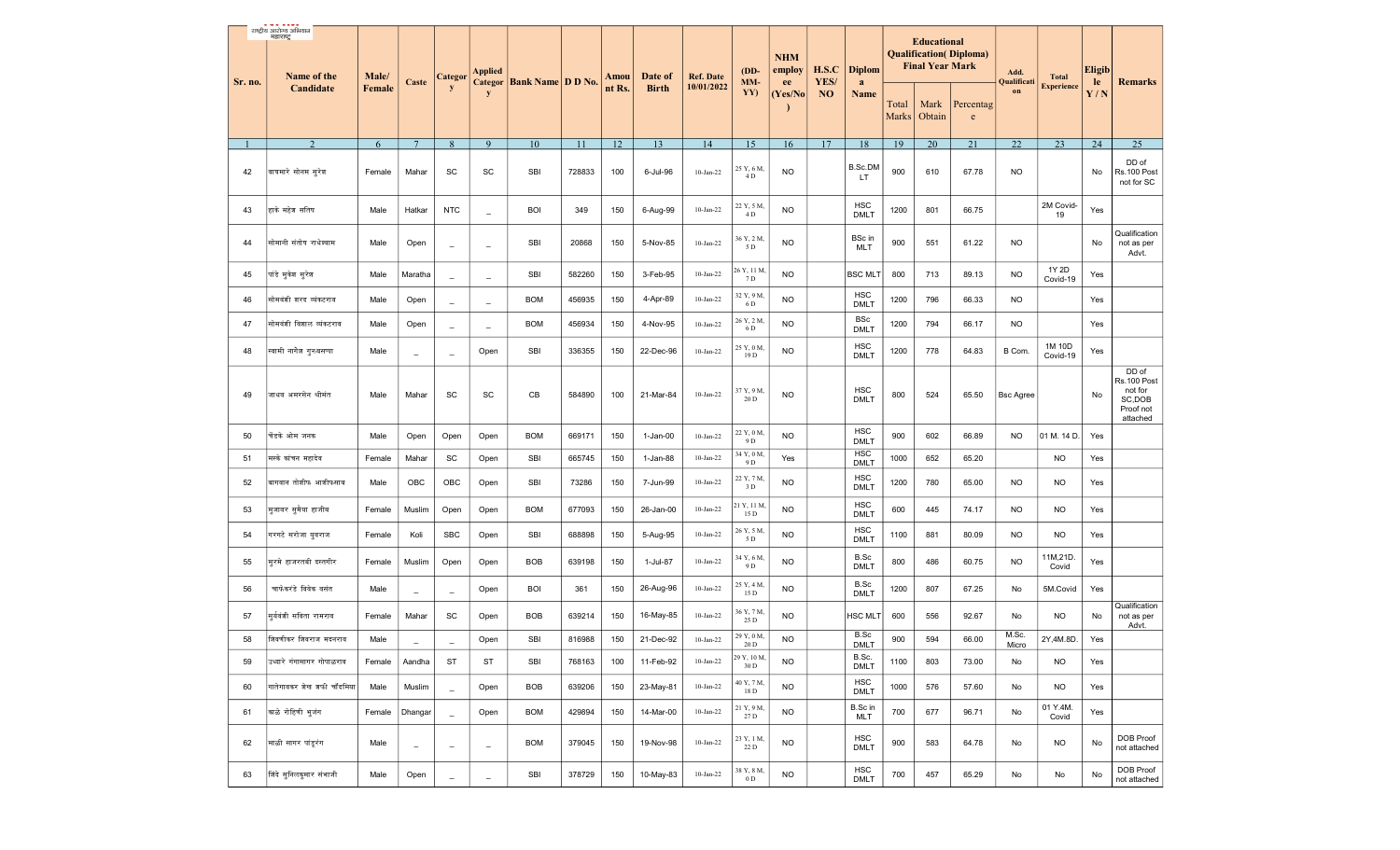|         | राष्ट्रीय आरोज्य अभियान    |        |                          |                          |                          |                                      |        |        |              |                  |                     |                      |            |                           |                |                                              |                                         |                     |                    |               |                                                                    |
|---------|----------------------------|--------|--------------------------|--------------------------|--------------------------|--------------------------------------|--------|--------|--------------|------------------|---------------------|----------------------|------------|---------------------------|----------------|----------------------------------------------|-----------------------------------------|---------------------|--------------------|---------------|--------------------------------------------------------------------|
|         | महाराष्ट्र<br>Name of the  | Male/  |                          | <b>Categor</b>           | <b>Applied</b>           |                                      |        | Amou   | Date of      | <b>Ref. Date</b> | $(DD-$<br>MM-       | <b>NHM</b><br>employ | H.S.C      | <b>Diplom</b>             |                | <b>Educational</b><br><b>Final Year Mark</b> | <b>Qualification</b> ( <i>Diploma</i> ) | Add.<br>Qualificati | <b>Total</b>       | <b>Eligib</b> |                                                                    |
| Sr. no. | Candidate                  | Female | Caste                    | y                        | y                        | <b>Categor   Bank Name   D D No.</b> |        | nt Rs. | <b>Birth</b> | 10/01/2022       | YY)                 | ee<br>(Yes/No        | YES/<br>NO | a<br>Name                 | Total<br>Marks | Mark<br>Obtain                               | Percentag<br>e                          | on                  | <b>Experience</b>  | le<br>Y/N     | <b>Remarks</b>                                                     |
|         | $\mathcal{D}$              | 6      | $7\phantom{.0}$          | 8                        | $\mathbf{Q}$             | 10                                   | 11     | 12     | 13           | 14               | 15                  | 16                   | 17         | 18                        | 19             | 20                                           | 21                                      | 22                  | 23                 | 24            | 25                                                                 |
| 42      | वाघमारे सोनम सरेश          | Female | Mahar                    | SC                       | SC                       | SBI                                  | 728833 | 100    | 6-Jul-96     | $10-Jan-22$      | 25 Y, 6 M<br>4D     | <b>NO</b>            |            | <b>B.Sc.DM</b><br>LT.     | 900            | 610                                          | 67.78                                   | NO                  |                    | No            | DD of<br>Rs.100 Post<br>not for SC                                 |
| 43      | हाके महेश सतिष             | Male   | Hatkar                   | <b>NTC</b>               | $\overline{\phantom{a}}$ | <b>BOI</b>                           | 349    | 150    | 6-Aug-99     | $10-Jan-22$      | 22 Y, 5 M.<br>4D    | <b>NO</b>            |            | <b>HSC</b><br><b>DMLT</b> | 1200           | 801                                          | 66.75                                   |                     | 2M Covid-<br>19    | Yes           |                                                                    |
| 44      | सोमानी संतोष राधेश्याम     | Male   | Open                     | $\overline{\phantom{a}}$ | $\equiv$                 | SBI                                  | 20868  | 150    | 5-Nov-85     | $10-Jan-22$      | 36 Y, 2 M<br>5 D    | <b>NO</b>            |            | BSc in<br><b>MLT</b>      | 900            | 551                                          | 61.22                                   | NO                  |                    | No            | Qualification<br>not as per<br>Advt.                               |
| 45      | पांडे मुकेश सुरेश          | Male   | Maratha                  | $\overline{\phantom{a}}$ | $\overline{\phantom{m}}$ | <b>SBI</b>                           | 582260 | 150    | 3-Feb-95     | $10-Jan-22$      | 26 Y, 11 M,<br>7 D  | <b>NO</b>            |            | <b>BSC MLT</b>            | 800            | 713                                          | 89.13                                   | NO.                 | 1Y 2D<br>Covid-19  | Yes           |                                                                    |
| 46      | सोमवंशी शरद व्यंकटराव      | Male   | Open                     | $\overline{\phantom{a}}$ | $\overline{\phantom{a}}$ | <b>BOM</b>                           | 456935 | 150    | 4-Apr-89     | $10-Jan-22$      | 32 Y, 9 M.<br>6 D   | <b>NO</b>            |            | <b>HSC</b><br><b>DMLT</b> | 1200           | 796                                          | 66.33                                   | NO.                 |                    | Yes           |                                                                    |
| 47      | सोमवंशी विशाल व्यंकटराव    | Male   | Open                     | $\overline{\phantom{a}}$ | $\overline{\phantom{a}}$ | <b>BOM</b>                           | 456934 | 150    | 4-Nov-95     | $10-Jan-22$      | 26 Y, 2 M<br>6 D    | <b>NO</b>            |            | <b>BSc</b><br><b>DMLT</b> | 1200           | 794                                          | 66.17                                   | NO.                 |                    | Yes           |                                                                    |
| 48      | स्वामी नागेश गुरुबसप्पा    | Male   | $\overline{\phantom{a}}$ | $\overline{\phantom{a}}$ | Open                     | SBI                                  | 336355 | 150    | 22-Dec-96    | $10$ -Jan-22     | 25 Y, 0 M.<br>19 D  | <b>NO</b>            |            | <b>HSC</b><br><b>DMLT</b> | 1200           | 778                                          | 64.83                                   | B Com.              | 1M 10D<br>Covid-19 | Yes           |                                                                    |
| 49      | जाधव अमरसेन श्रीमंत        | Male   | Mahar                    | SC                       | SC                       | CB                                   | 584890 | 100    | 21-Mar-84    | 10-Jan-22        | 37 Y, 9 M,<br>20 D  | <b>NO</b>            |            | <b>HSC</b><br><b>DMLT</b> | 800            | 524                                          | 65.50                                   | <b>Bsc Agree</b>    |                    | No            | DD of<br>Rs.100 Post<br>not for<br>SC,DOB<br>Proof not<br>attached |
| 50      | चेंडके ओम जनक              | Male   | Open                     | Open                     | Open                     | <b>BOM</b>                           | 669171 | 150    | 1-Jan-00     | $10-Jan-22$      | 22 Y, 0 M.<br>9 D   | <b>NO</b>            |            | <b>HSC</b><br><b>DMLT</b> | 900            | 602                                          | 66.89                                   | NO.                 | 01 M. 14 D.        | Yes           |                                                                    |
| 51      | मस्के कांचन महादेव         | Female | Mahar                    | SC                       | Open                     | SBI                                  | 665745 | 150    | 1-Jan-88     | $10-Jan-22$      | 34 Y, 0 M.<br>9 D   | Yes                  |            | <b>HSC</b><br><b>DMLT</b> | 1000           | 652                                          | 65.20                                   |                     | <b>NO</b>          | Yes           |                                                                    |
| 52      | बागवान तोशीफ आशीफसाब       | Male   | OBC                      | OBC                      | Open                     | <b>SBI</b>                           | 73286  | 150    | 7-Jun-99     | $10$ -Jan-22     | 22 Y, 7 M.<br>3 D   | <b>NO</b>            |            | <b>HSC</b><br><b>DMLT</b> | 1200           | 780                                          | 65.00                                   | NO.                 | <b>NO</b>          | Yes           |                                                                    |
| 53      | मूजावर सुमैया हाजीब        | Female | Muslim                   | Open                     | Open                     | <b>BOM</b>                           | 677093 | 150    | 26-Jan-00    | $10$ -Jan-22     | 21 Y, 11 M,<br>15 D | <b>NO</b>            |            | <b>HSC</b><br><b>DMLT</b> | 600            | 445                                          | 74.17                                   | NO                  | <b>NO</b>          | Yes           |                                                                    |
| 54      | गरगटे सरोजा युवराज         | Female | Koli                     | <b>SBC</b>               | Open                     | <b>SBI</b>                           | 688898 | 150    | 5-Aug-95     | $10$ -Jan-22     | 26 Y, 5 M<br>5 D    | <b>NO</b>            |            | <b>HSC</b><br><b>DMLT</b> | 1100           | 881                                          | 80.09                                   | NO.                 | <b>NO</b>          | Yes           |                                                                    |
| 55      | मरमे हाजरतबी दस्तगीर       | Female | Muslim                   | Open                     | Open                     | <b>BOB</b>                           | 639198 | 150    | 1-Jul-87     | $10$ -Jan-22     | 34 Y, 6 M,<br>9 D   | <b>NO</b>            |            | B.Sc<br><b>DMLT</b>       | 800            | 486                                          | 60.75                                   | NO.                 | 11M,21D.<br>Covid  | Yes           |                                                                    |
| 56      | चाफेकरंडे विवेक वसंत       | Male   | $\overline{\phantom{m}}$ | $\qquad \qquad -$        | Open                     | <b>BOI</b>                           | 361    | 150    | 26-Aug-96    | 10-Jan-22        | 25 Y, 4 M.<br>15 D  | <b>NO</b>            |            | B.Sc<br><b>DMLT</b>       | 1200           | 807                                          | 67.25                                   | No                  | 5M.Covid           | Yes           |                                                                    |
| 57      | सर्यवंशी सविता रामराव      | Female | Mahar                    | SC                       | Open                     | <b>BOB</b>                           | 639214 | 150    | 16-May-85    | $10$ -Jan-22     | 36 Y, 7 M.<br>25 D  | <b>NO</b>            |            | HSC MLT                   | 600            | 556                                          | 92.67                                   | No                  | <b>NO</b>          | No            | Qualification<br>not as per<br>Advt.                               |
| 58      | शिवणीकर शिवराज मदनराव      | Male   | $\equiv$                 | $\equiv$                 | Open                     | <b>SBI</b>                           | 816988 | 150    | 21-Dec-92    | $10-Jan-22$      | 29 Y, 0 M.<br>20 D  | <b>NO</b>            |            | B.Sc<br><b>DMLT</b>       | 900            | 594                                          | 66.00                                   | M.Sc.<br>Micro      | 2Y,4M.8D.          | Yes           |                                                                    |
| 59      | उध्दारे गंगासागर गोपाळराव  | Female | Aandha                   | <b>ST</b>                | ST                       | <b>SBI</b>                           | 768163 | 100    | 11-Feb-92    | $10-Jan-22$      | 29 Y, 10 M,<br>30 D | <b>NO</b>            |            | B.Sc.<br><b>DMLT</b>      | 1100           | 803                                          | 73.00                                   | No                  | <b>NO</b>          | Yes           |                                                                    |
| 60      | गातेगावकर शेख शफी चॉंदमिया | Male   | Muslim                   | $\equiv$                 | Open                     | <b>BOB</b>                           | 639206 | 150    | 23-May-81    | $10$ -Jan-22     | 40 Y, 7 M<br>18 D   | <b>NO</b>            |            | <b>HSC</b><br><b>DMLT</b> | 1000           | 576                                          | 57.60                                   | No                  | <b>NO</b>          | Yes           |                                                                    |
| 61      | काळे रोहिणी भुजंग          | Female | Dhangar                  | $\equiv$                 | Open                     | <b>BOM</b>                           | 429894 | 150    | 14-Mar-00    | $10$ -Jan-22     | 21 Y, 9 M<br>27 D   | <b>NO</b>            |            | B.Sc in<br><b>MLT</b>     | 700            | 677                                          | 96.71                                   | No                  | 01 Y.4M.<br>Covid  | Yes           |                                                                    |
| 62      | माळी सागर पांडूरंग         | Male   | $\overline{\phantom{a}}$ | $\overline{\phantom{a}}$ | $\equiv$                 | <b>BOM</b>                           | 379045 | 150    | 19-Nov-98    | $10-Jan-22$      | 23 Y, 1 M,<br>22 D  | <b>NO</b>            |            | <b>HSC</b><br><b>DMLT</b> | 900            | 583                                          | 64.78                                   | No                  | <b>NO</b>          | No            | DOB Proof<br>not attached                                          |
| 63      | शिंदे सुनिलकुमार संभाजी    | Male   | Open                     | $\qquad \qquad -$        | $\overline{\phantom{a}}$ | SBI                                  | 378729 | 150    | 10-May-83    | $10-Jan-22$      | 38 Y, 8 M.<br>0 D   | <b>NO</b>            |            | <b>HSC</b><br><b>DMLT</b> | 700            | 457                                          | 65.29                                   | No                  | No                 | No            | DOB Proof<br>not attached                                          |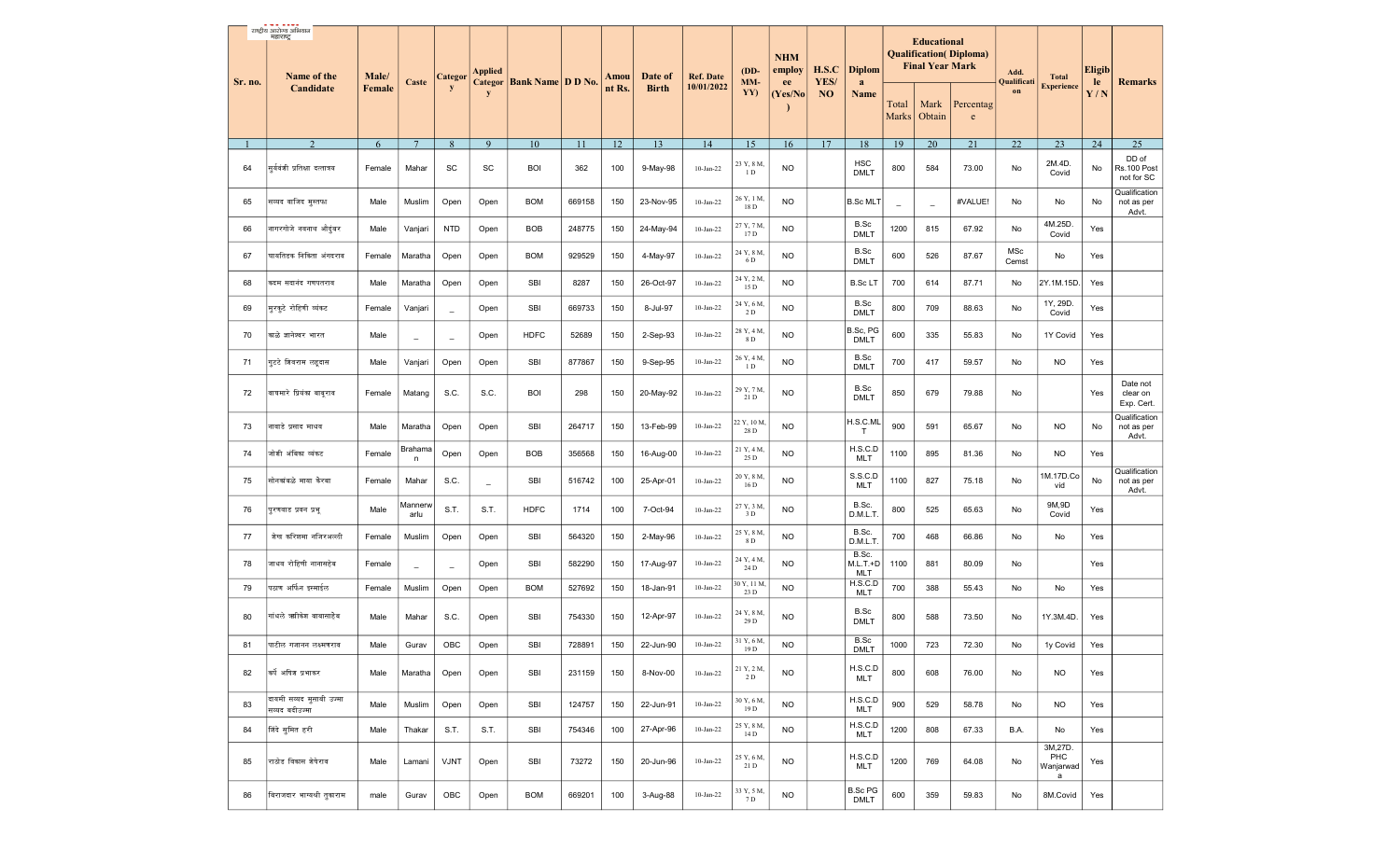| Sr. no. | राष्ट्रीय आरोज्य अभियान<br>महाराष्ट्र<br>Name of the | Male/        | Caste           | <b>Categor</b>           | <b>Applied</b> | Categor   Bank Name   D D No. |                 | Amou       | Date of      | <b>Ref. Date</b>          | (DD-<br>MM-                     | <b>NHM</b><br>employ<br>ee | H.S.C<br>YES/ | <b>Diplom</b>                 |                       | <b>Educational</b><br><b>Final Year Mark</b> | <b>Qualification</b> ( <i>Diploma</i> ) | Add.<br>Qualificati | <b>Total</b>                     | <b>Eligib</b><br>le | <b>Remarks</b>                                      |
|---------|------------------------------------------------------|--------------|-----------------|--------------------------|----------------|-------------------------------|-----------------|------------|--------------|---------------------------|---------------------------------|----------------------------|---------------|-------------------------------|-----------------------|----------------------------------------------|-----------------------------------------|---------------------|----------------------------------|---------------------|-----------------------------------------------------|
|         | Candidate                                            | Female       |                 | y                        | y              |                               |                 | nt Rs.     | <b>Birth</b> | 10/01/2022                | YY)                             | (Yes/No                    | NO            | a<br>Name                     | Total<br><b>Marks</b> | Mark<br>Obtain                               | Percentag<br>$\mathbf e$                | on                  | <b>Experience</b>                | Y/N                 |                                                     |
|         | 2                                                    | 6            | $7\phantom{.0}$ | 8                        | 9              | 10                            | 11              | 12         | 13           | 14                        | 15                              | 16                         | 17            | 18                            | 19                    | 20                                           | 21                                      | 22                  | 23                               | 24                  | 25                                                  |
| 64      | सर्यवंशी प्रतिक्षा दत्तात्रय                         | Female       | Mahar           | SC                       | SC             | <b>BOI</b>                    | 362             | 100        | 9-May-98     | $10$ -Jan-22              | 23 Y, 8 M,<br>1D                | <b>NO</b>                  |               | <b>HSC</b><br><b>DMLT</b>     | 800                   | 584                                          | 73.00                                   | No                  | 2M.4D.<br>Covid                  | No                  | DD of<br>Rs.100 Post<br>not for SC<br>Qualification |
| 65      | सय्यद वाजिद मुस्तफा                                  | Male         | Muslim          | Open                     | Open           | <b>BOM</b>                    | 669158          | 150        | 23-Nov-95    | 10-Jan-22                 | 26 Y, 1 M.<br>18 D              | <b>NO</b>                  |               | <b>B.Sc MLT</b>               | $\sim$                | $\sim$                                       | #VALUE!                                 | No                  | No                               | No                  | not as per<br>Advt.                                 |
| 66      | नागरगोजे नवनाथ औदुंबर                                | Male         | Vanjari         | <b>NTD</b>               | Open           | <b>BOB</b>                    | 248775          | 150        | 24-May-94    | $10$ -Jan-22              | 27 Y, 7 M.<br>17 D              | <b>NO</b>                  |               | B.Sc<br><b>DMLT</b>           | 1200                  | 815                                          | 67.92                                   | No                  | 4M.25D.<br>Covid                 | Yes                 |                                                     |
| 67      | घायतिडक निकिता अंगदराव                               | Female       | Maratha         | Open                     | Open           | <b>BOM</b>                    | 929529          | 150        | 4-May-97     | 10-Jan-22                 | 24 Y, 8 M,<br>6 D<br>24 Y, 2 M, | <b>NO</b>                  |               | B.Sc<br><b>DMLT</b>           | 600                   | 526                                          | 87.67                                   | MSc<br>Cemst        | No                               | Yes                 |                                                     |
| 68      | कदम सदानंद गणपतराव                                   | Male         | Maratha         | Open                     | Open           | SBI                           | 8287            | 150        | 26-Oct-97    | $10$ -Jan-22              | 15 D<br>24 Y, 6 M,              | <b>NO</b>                  |               | <b>B.ScLT</b><br>B.Sc         | 700                   | 614                                          | 87.71                                   | No                  | 2Y.1M.15D.<br>1Y, 29D.           | Yes                 |                                                     |
| 69      | मूरकूटे रोहिणी व्यंकट                                | Female       | Vanjari         | $\equiv$                 | Open           | SBI                           | 669733          | 150        | 8-Jul-97     | $10$ -Jan-22              | 2 D<br>28 Y, 4 M.               | <b>NO</b>                  |               | <b>DMLT</b><br>B.Sc, PG       | 800                   | 709                                          | 88.63                                   | No                  | Covid                            | Yes                 |                                                     |
| 70      | काळे ज्ञानेश्वर भारत<br>गुटटे शिवराम लहूदास          | Male<br>Male | $\equiv$        | $\overline{\phantom{a}}$ | Open           | <b>HDFC</b><br>SBI            | 52689<br>877867 | 150<br>150 | 2-Sep-93     | 10-Jan-22<br>$10$ -Jan-22 | 8 D<br>26 Y, 4 M.               | <b>NO</b><br><b>NO</b>     |               | <b>DMLT</b><br>B.Sc           | 600<br>700            | 335<br>417                                   | 55.83<br>59.57                          | No<br>No            | 1Y Covid<br><b>NO</b>            | Yes                 |                                                     |
| 71      |                                                      |              | Vanjari         | Open                     | Open           |                               |                 |            | 9-Sep-95     |                           | 1D                              |                            |               | <b>DMLT</b>                   |                       |                                              |                                         |                     |                                  | Yes                 |                                                     |
| 72      | वाघमारे प्रियंका बाबराव                              | Female       | Matang          | S.C.                     | S.C.           | <b>BOI</b>                    | 298             | 150        | 20-May-92    | 10-Jan-22                 | 29 Y, 7 M,<br>21 D              | <b>NO</b>                  |               | B.Sc<br><b>DMLT</b>           | 850                   | 679                                          | 79.88                                   | No                  |                                  | Yes                 | Date not<br>clear on<br>Exp. Cert.                  |
| 73      | नावाडे प्रसाद माधव                                   | Male         | Maratha         | Open                     | Open           | SBI                           | 264717          | 150        | 13-Feb-99    | $10$ -Jan-22              | 22 Y, 10 M.<br>28 D             | <b>NO</b>                  |               | H.S.C.ML<br>$\mathsf{T}$      | 900                   | 591                                          | 65.67                                   | No                  | NO.                              | No                  | Qualification<br>not as per<br>Advt.                |
| 74      | जोशी अंबिका व्यंकट                                   | Female       | Brahama<br>n    | Open                     | Open           | <b>BOB</b>                    | 356568          | 150        | 16-Aug-00    | $10$ -Jan-22              | 21 Y, 4 M.<br>25 D              | <b>NO</b>                  |               | H.S.C.D<br><b>MLT</b>         | 1100                  | 895                                          | 81.36                                   | No                  | NO.                              | Yes                 |                                                     |
| 75      | सोनकांबळे माया केरबा                                 | Female       | Mahar           | S.C.                     | $\equiv$       | SBI                           | 516742          | 100        | 25-Apr-01    | $10$ -Jan-22              | 20 Y, 8 M,<br>16 D              | <b>NO</b>                  |               | S.S.C.D<br><b>MLT</b>         | 1100                  | 827                                          | 75.18                                   | No                  | 1M.17D.Co<br>vid                 | No                  | Qualification<br>not as per<br>Advt.                |
| 76      | पुरणवाड प्रवन प्रभू                                  | Male         | Mannerw<br>arlu | S.T.                     | S.T.           | <b>HDFC</b>                   | 1714            | 100        | 7-Oct-94     | 10-Jan-22                 | 27 Y, 3 M,<br>3 D               | <b>NO</b>                  |               | B.Sc.<br>D.M.L.T              | 800                   | 525                                          | 65.63                                   | No                  | 9M,9D<br>Covid                   | Yes                 |                                                     |
| 77      | शेख करिशमा नजिरअल्ली                                 | Female       | Muslim          | Open                     | Open           | SBI                           | 564320          | 150        | 2-May-96     | $10$ -Jan-22              | 25 Y, 8 M.<br>8 D               | <b>NO</b>                  |               | B.Sc.<br>D.M.L.T<br>B.Sc.     | 700                   | 468                                          | 66.86                                   | No                  | No                               | Yes                 |                                                     |
| 78      | जाधव रोहिणी नानासहेब                                 | Female       | $\sim$          | $\equiv$                 | Open           | SBI                           | 582290          | 150        | 17-Aug-97    | $10$ -Jan-22              | 24 Y, 4 M,<br>24 D              | <b>NO</b>                  |               | M.L.T.+D<br><b>MLT</b>        | 1100                  | 881                                          | 80.09                                   | No                  |                                  | Yes                 |                                                     |
| 79      | पठाण अर्फिन इस्माईल                                  | Female       | Muslim          | Open                     | Open           | <b>BOM</b>                    | 527692          | 150        | 18-Jan-91    | $10$ -Jan-22              | 60 Y, 11 M,<br>23 D             | <b>NO</b>                  |               | H.S.C.D<br><b>MLT</b>         | 700                   | 388                                          | 55.43                                   | No                  | No                               | Yes                 |                                                     |
| 80      | गांधले ऋगिकेश बाबासाहेब                              | Male         | Mahar           | S.C.                     | Open           | SBI                           | 754330          | 150        | 12-Apr-97    | $10$ -Jan-22              | 24 Y, 8 M,<br>29 D              | <b>NO</b>                  |               | B.Sc<br><b>DMLT</b>           | 800                   | 588                                          | 73.50                                   | No                  | 1Y.3M.4D.                        | Yes                 |                                                     |
| 81      | पाटील गजानन लक्ष्मणराव                               | Male         | Gurav           | OBC                      | Open           | <b>SBI</b>                    | 728891          | 150        | 22-Jun-90    | $10$ -Jan-22 $\,$         | 31 Y, 6 M,<br>19 D              | NO                         |               | B.Sc<br>DMLT                  | 1000                  | 723                                          | 72.30                                   | No                  | 1y Covid                         | Yes                 |                                                     |
| 82      | कर्पे अषिश प्रभाकर                                   | Male         | Maratha         | Open                     | Open           | <b>SBI</b>                    | 231159          | 150        | 8-Nov-00     | $10-Jan-22$               | 21 Y, 2 M,<br>2 D               | <b>NO</b>                  |               | H.S.C.D<br><b>MLT</b>         | 800                   | 608                                          | 76.00                                   | No                  | NO.                              | Yes                 |                                                     |
| 83      | वायमी सय्यद मुसाबी उज्मा<br> सय्यद बदीउज्मा          | Male         | Muslim          | Open                     | Open           | <b>SBI</b>                    | 124757          | 150        | 22-Jun-91    | $10$ -Jan-22              | 30 Y, 6 M,<br>19 D              | <b>NO</b>                  |               | H.S.C.D<br><b>MLT</b>         | 900                   | 529                                          | 58.78                                   | No                  | <b>NO</b>                        | Yes                 |                                                     |
| 84      | शिंदे समित हरी                                       | Male         | Thakar          | S.T.                     | S.T.           | <b>SBI</b>                    | 754346          | 100        | 27-Apr-96    | $10-Jan-22$               | 25 Y, 8 M,<br>14 D              | <b>NO</b>                  |               | H.S.C.D<br><b>MLT</b>         | 1200                  | 808                                          | 67.33                                   | B.A.                | No                               | Yes                 |                                                     |
| 85      | त्राठोड विकास शेषेराव                                | Male         | Lamani          | <b>VJNT</b>              | Open           | SBI                           | 73272           | 150        | 20-Jun-96    | $10-Jan-22$               | 25 Y, 6 M,<br>21 D              | <b>NO</b>                  |               | H.S.C.D<br><b>MLT</b>         | 1200                  | 769                                          | 64.08                                   | No                  | 3M,27D.<br>PHC<br>Wanjarwad<br>a | Yes                 |                                                     |
| 86      | विराजदार भाग्यश्री तुकाराम                           | male         | Gurav           | OBC                      | Open           | <b>BOM</b>                    | 669201          | 100        | 3-Aug-88     | $10$ -Jan-22              | 33 Y, 5 M,<br>7 D               | <b>NO</b>                  |               | <b>B.Sc PG</b><br><b>DMLT</b> | 600                   | 359                                          | 59.83                                   | No                  | 8M.Covid                         | Yes                 |                                                     |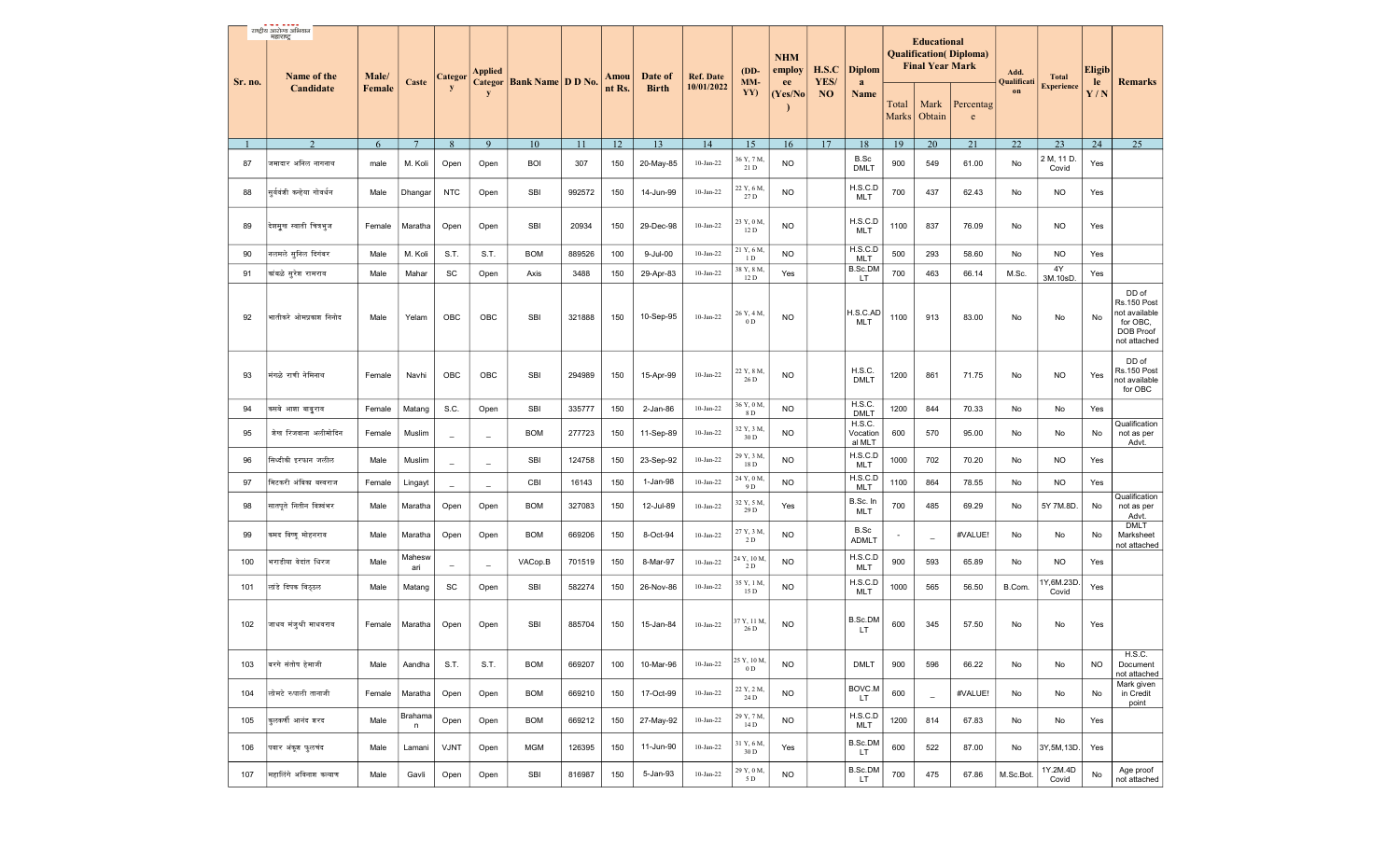|         | राष्ट्रीय आरोज्य अभियान<br>महाराष्ट्र |                 |                |                          |                          |                                  |        |                |                         |                                |                                | <b>NHM</b><br>employ | H.S.C             | <b>Diplom</b>                |                          | <b>Educational</b><br><b>Final Year Mark</b> | <b>Qualification</b> ( <i>Diploma</i> ) |                           |                                   | <b>Eligib</b> |                                                                                       |
|---------|---------------------------------------|-----------------|----------------|--------------------------|--------------------------|----------------------------------|--------|----------------|-------------------------|--------------------------------|--------------------------------|----------------------|-------------------|------------------------------|--------------------------|----------------------------------------------|-----------------------------------------|---------------------------|-----------------------------------|---------------|---------------------------------------------------------------------------------------|
| Sr. no. | Name of the<br>Candidate              | Male/<br>Female | Caste          | Categor<br>y             | Applied<br>y             | <b>Categor Bank Name D D No.</b> |        | Amou<br>nt Rs. | Date of<br><b>Birth</b> | <b>Ref. Date</b><br>10/01/2022 | $(DD-$<br>MM-<br>YY)           | ee<br>(Yes/No        | YES/<br><b>NO</b> | a<br><b>Name</b>             | Total<br>Marks           | Mark<br>Obtain                               | Percentag<br>$\mathbf{e}$               | Add.<br>Qualificati<br>on | <b>Total</b><br><b>Experience</b> | le<br>Y/N     | <b>Remarks</b>                                                                        |
|         |                                       | 6               | $\overline{7}$ | 8                        | 9                        | 10                               | 11     | 12             | 13                      | 14                             | 15                             | 16                   | 17                | 18                           | 19                       | 20                                           | 21                                      | 22                        | 23                                | 24            | 25                                                                                    |
| 87      | जमादार अनिल नागनाथ                    | male            | M. Koli        | Open                     | Open                     | <b>BOI</b>                       | 307    | 150            | 20-May-85               | $10-Jan-22$                    | 36 Y, 7 M,<br>21 D             | <b>NO</b>            |                   | B.Sc<br><b>DMLT</b>          | 900                      | 549                                          | 61.00                                   | No                        | 2 M, 11 D.<br>Covid               | Yes           |                                                                                       |
| 88      | सुर्यवंशी कन्हेया गोवर्धन             | Male            | Dhangar        | <b>NTC</b>               | Open                     | SBI                              | 992572 | 150            | 14-Jun-99               | $10-Jan-22$                    | 22 Y, 6 M,<br>27 D             | <b>NO</b>            |                   | H.S.C.D<br>MLT               | 700                      | 437                                          | 62.43                                   | No                        | NO                                | Yes           |                                                                                       |
| 89      | देशमूख स्वाती चित्रभृज                | Female          | Maratha        | Open                     | Open                     | <b>SBI</b>                       | 20934  | 150            | 29-Dec-98               | $10-Jan-22$                    | 23 Y, 0 M,<br>12 D             | <b>NO</b>            |                   | H.S.C.D<br><b>MLT</b>        | 1100                     | 837                                          | 76.09                                   | No                        | NO.                               | Yes           |                                                                                       |
| 90      | नलमले सुनिल दिगंबर                    | Male            | M. Koli        | S.T.                     | S.T.                     | <b>BOM</b>                       | 889526 | 100            | 9-Jul-00                | $10-Jan-22$                    | 21 Y, 6 M,<br>1 D              | <b>NO</b>            |                   | H.S.C.D<br>MLT               | 500                      | 293                                          | 58.60                                   | No                        | <b>NO</b>                         | Yes           |                                                                                       |
| 91      | कांबळे सूरेश रामराव                   | Male            | Mahar          | SC                       | Open                     | Axis                             | 3488   | 150            | 29-Apr-83               | $10-Jan-22$                    | 38 Y, 8 M,<br>12 D             | Yes                  |                   | B.Sc.DM<br>LT.               | 700                      | 463                                          | 66.14                                   | M.Sc.                     | 4Y<br>3M.10sD.                    | Yes           |                                                                                       |
| 92      | भातीकरे ओमप्रकाश निनोद                | Male            | Yelam          | OBC                      | OBC                      | <b>SBI</b>                       | 321888 | 150            | 10-Sep-95               | $10-Jan-22$                    | 26 Y, 4 M.<br>0 <sub>D</sub>   | <b>NO</b>            |                   | H.S.C.AD<br>MLT              | 1100                     | 913                                          | 83.00                                   | No                        | No                                | No            | DD of<br>Rs.150 Post<br>not available<br>for OBC,<br><b>DOB Proof</b><br>not attached |
| 93      | मंगळे राणी नेमिनाथ                    | Female          | Navhi          | OBC                      | OBC                      | <b>SBI</b>                       | 294989 | 150            | 15-Apr-99               | $10-Jan-22$                    | 22 Y, 8 M,<br>26 D             | <b>NO</b>            |                   | H.S.C.<br><b>DMLT</b>        | 1200                     | 861                                          | 71.75                                   | No                        | NO.                               | Yes           | DD of<br>Rs.150 Post<br>not available<br>for OBC                                      |
| 94      | कसबे आशा बाबुराव                      | Female          | Matang         | S.C.                     | Open                     | <b>SBI</b>                       | 335777 | 150            | $2$ -Jan-86             | $10-Jan-22$                    | 36 Y, 0 M,<br>8 D              | <b>NO</b>            |                   | H.S.C.<br><b>DMLT</b>        | 1200                     | 844                                          | 70.33                                   | No                        | No                                | Yes           |                                                                                       |
| 95      | शेख रिजवाना अलीमोदिन                  | Female          | Muslim         | $\overline{\phantom{a}}$ | $\overline{\phantom{a}}$ | <b>BOM</b>                       | 277723 | 150            | 11-Sep-89               | $10-Jan-22$                    | 32 Y, 3 M.<br>30 D             | <b>NO</b>            |                   | H.S.C.<br>Vocation<br>al MLT | 600                      | 570                                          | 95.00                                   | No                        | No                                | No            | Qualification<br>not as per<br>Advt.                                                  |
| 96      | सिध्दीकी इरफान जलील                   | Male            | Muslim         | $\overline{\phantom{a}}$ | $\overline{\phantom{m}}$ | <b>SBI</b>                       | 124758 | 150            | 23-Sep-92               | $10$ -Jan-22 $\,$              | 29 Y, 3 M,<br>18 D             | <b>NO</b>            |                   | H.S.C.D<br>MLT               | 1000                     | 702                                          | 70.20                                   | No                        | NO.                               | Yes           |                                                                                       |
| 97      | मिटकरी अंबिका बस्वराज                 | Female          | Lingayt        | $\overline{\phantom{a}}$ | $\overline{\phantom{m}}$ | CBI                              | 16143  | 150            | 1-Jan-98                | $10-Jan-22$                    | 24 Y, 0 M,<br>9 D              | <b>NO</b>            |                   | H.S.C.D<br><b>MLT</b>        | 1100                     | 864                                          | 78.55                                   | No                        | <b>NO</b>                         | Yes           |                                                                                       |
| 98      | सातपते नितीन विश्वंभर                 | Male            | Maratha        | Open                     | Open                     | <b>BOM</b>                       | 327083 | 150            | 12-Jul-89               | $10-Jan-22$                    | 32 Y, 5 M,<br>29 D             | Yes                  |                   | B.Sc. In<br>MLT              | 700                      | 485                                          | 69.29                                   | No                        | 5Y 7M.8D.                         | No            | Qualification<br>not as per<br>Advt.                                                  |
| 99      | कमद विष्णू मोहनराव                    | Male            | Maratha        | Open                     | Open                     | <b>BOM</b>                       | 669206 | 150            | 8-Oct-94                | $10-Jan-22$                    | 27 Y, 3 M,<br>$2\,\mathrm{D}$  | <b>NO</b>            |                   | B.Sc<br><b>ADMLT</b>         | $\overline{\phantom{a}}$ | $\overline{\phantom{a}}$                     | #VALUE!                                 | No                        | No                                | No            | <b>DMLT</b><br>Marksheet<br>not attached                                              |
| 100     | भराडीया वेदांत धिरज                   | Male            | Mahesw<br>ari  | $\overline{\phantom{a}}$ | $\overline{\phantom{m}}$ | VACop.B                          | 701519 | 150            | 8-Mar-97                | $10$ -Jan-22                   | 24 Y, 10 M,<br>2 D             | <b>NO</b>            |                   | H.S.C.D<br>MLT               | 900                      | 593                                          | 65.89                                   | No                        | NO.                               | Yes           |                                                                                       |
| 101     | लांडे दिपक विठठल                      | Male            | Matang         | SC                       | Open                     | <b>SBI</b>                       | 582274 | 150            | 26-Nov-86               | $10-Jan-22$                    | 35 Y, 1 M,<br>15 D             | <b>NO</b>            |                   | H.S.C.D<br>MLT               | 1000                     | 565                                          | 56.50                                   | B.Com.                    | 1Y,6M.23D.<br>Covid               | Yes           |                                                                                       |
| 102     | जाधव मंजुश्री माधवराव                 | Female          | Maratha        | Open                     | Open                     | <b>SBI</b>                       | 885704 | 150            | 15-Jan-84               | $10-Jan-22$                    | 37 Y, 11 M<br>26 D             | <b>NO</b>            |                   | B.Sc.DM<br>LT.               | 600                      | 345                                          | 57.50                                   | No                        | No                                | Yes           |                                                                                       |
| 103     | बिरगे संतोष हेमाजी                    | Male            | Aandha         | S.T.                     | S.T.                     | <b>BOM</b>                       | 669207 | 100            | 10-Mar-96               | $10-Jan-22$                    | 25 Y, 10 M,<br>$0\,\mathrm{D}$ | <b>NO</b>            |                   | <b>DMLT</b>                  | 900                      | 596                                          | 66.22                                   | No                        | No                                | <b>NO</b>     | H.S.C.<br>Document<br>not attached                                                    |
| 104     | लोमटे रुपाली तानाजी                   | Female          | Maratha        | Open                     | Open                     | <b>BOM</b>                       | 669210 | 150            | 17-Oct-99               | $10-Jan-22$                    | 22 Y, 2 M,<br>24 D             | <b>NO</b>            |                   | BOVC.M<br>LT.                | 600                      | $\overline{\phantom{a}}$                     | #VALUE!                                 | No                        | No                                | No            | Mark given<br>in Credit<br>point                                                      |
| 105     | कुलकर्णी आनंद शरद                     | Male            | Brahama<br>n   | Open                     | Open                     | <b>BOM</b>                       | 669212 | 150            | 27-May-92               | $10-Jan-22$                    | 29 Y, 7 M,<br>14 D             | <b>NO</b>            |                   | H.S.C.D<br><b>MLT</b>        | 1200                     | 814                                          | 67.83                                   | No                        | No                                | Yes           |                                                                                       |
| 106     | पवार अंकूश फुलचंद                     | Male            | Lamani         | VJNT                     | Open                     | <b>MGM</b>                       | 126395 | 150            | 11-Jun-90               | $10-Jan-22$                    | 31 Y, 6 M,<br>30 D             | Yes                  |                   | <b>B.Sc.DM</b><br>LT.        | 600                      | 522                                          | 87.00                                   | No                        | 3Y,5M,13D.                        | Yes           |                                                                                       |
| 107     | महालिंगे अविनाश कल्याण                | Male            | Gavli          | Open                     | Open                     | SBI                              | 816987 | 150            | 5-Jan-93                | $10-Jan-22$                    | 29 Y, 0 M,<br>5 D              | <b>NO</b>            |                   | <b>B.Sc.DM</b><br>LT.        | 700                      | 475                                          | 67.86                                   | M.Sc.Bot.                 | 1Y.2M.4D<br>Covid                 | No            | Age proof<br>not attached                                                             |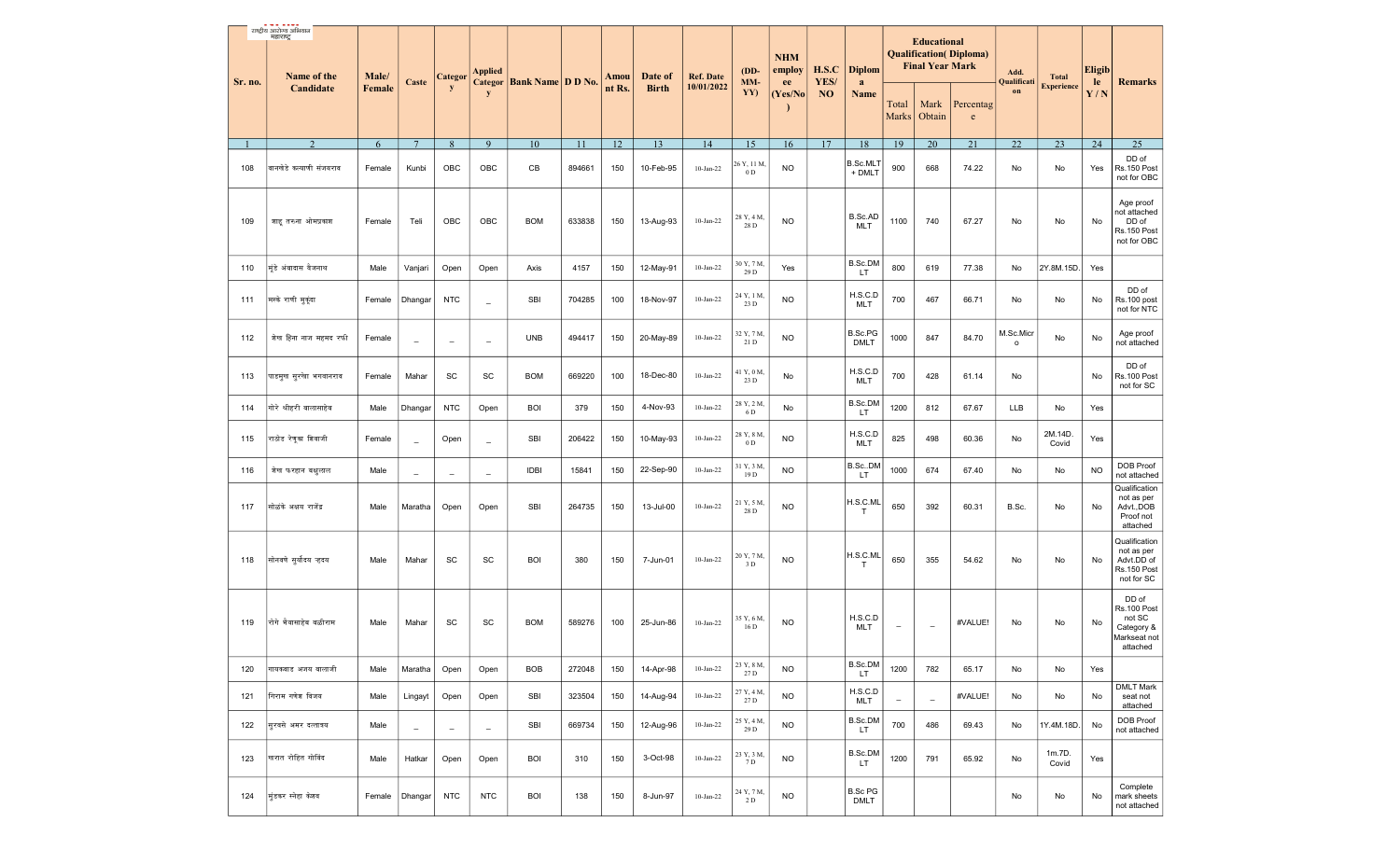| Sr. no. | राष्ट्रीय आरोज्य अभियान<br>महाराष्ट्र<br>Name of the | Male/  | Caste                    | Categor                  | <b>Applied</b>           | <b>Categor Bank Name D D No.</b> |        | Amou   | Date of      | <b>Ref. Date</b> | $(DD-$<br>MM-                 | <b>NHM</b><br>employ                       | H.S.C<br>YES/  | <b>Diplom</b>                 |                          | <b>Educational</b><br><b>Final Year Mark</b> | <b>Qualification</b> (Diploma)                                                              | Add.<br>Qualificati         | <b>Total</b>      | <b>Eligib</b><br>le | <b>Remarks</b>                                                           |
|---------|------------------------------------------------------|--------|--------------------------|--------------------------|--------------------------|----------------------------------|--------|--------|--------------|------------------|-------------------------------|--------------------------------------------|----------------|-------------------------------|--------------------------|----------------------------------------------|---------------------------------------------------------------------------------------------|-----------------------------|-------------------|---------------------|--------------------------------------------------------------------------|
|         | Candidate                                            | Female |                          | y                        | y                        |                                  |        | nt Rs. | <b>Birth</b> | 10/01/2022       | YY)                           | ee<br>(Yes/No)<br>$\overline{\phantom{a}}$ | N <sub>O</sub> | a<br><b>Name</b>              | Total<br><b>Marks</b>    | Mark<br>Obtain                               | Percentag<br>$\mathbf{e}% _{B}=\mathbf{e}_{B}+\mathbf{e}_{B}+\mathbf{e}_{B}+\mathbf{e}_{B}$ | on                          | <b>Experience</b> | Y/N                 |                                                                          |
|         | 2                                                    | 6      | $7\phantom{.0}$          | 8                        | 9                        | 10                               | 11     | 12     | 13           | 14               | 15                            | 16                                         | 17             | 18                            | 19                       | 20                                           | 21                                                                                          | 22                          | 23                | 24                  | 25                                                                       |
| 108     | वानखेडे कल्याणी संजयराव                              | Female | Kunbi                    | OBC                      | OBC                      | CB                               | 894661 | 150    | 10-Feb-95    | $10$ -Jan-22     | 26 Y, 11 M,<br>0 <sub>D</sub> | <b>NO</b>                                  |                | B.Sc.MLT<br>+ DMLT            | 900                      | 668                                          | 74.22                                                                                       | No                          | No                | Yes                 | DD of<br>Rs.150 Post<br>not for OBC                                      |
| 109     | शाह तरुना ओमप्रकाश                                   | Female | Teli                     | OBC                      | OBC                      | <b>BOM</b>                       | 633838 | 150    | 13-Aug-93    | $10-Jan-22$      | 28 Y, 4 M.<br>28 D            | <b>NO</b>                                  |                | B.Sc.AD<br>MLT                | 1100                     | 740                                          | 67.27                                                                                       | No                          | No                | No                  | Age proof<br>not attached<br>DD of<br>Rs.150 Post<br>not for OBC         |
| 110     | मूंडे अंबादास वैजनाथ                                 | Male   | Vanjari                  | Open                     | Open                     | Axis                             | 4157   | 150    | 12-May-91    | $10-Jan-22$      | 30 Y, 7 M,<br>29 D            | Yes                                        |                | B.Sc.DM<br>LT                 | 800                      | 619                                          | 77.38                                                                                       | No                          | 2Y.8M.15D.        | Yes                 |                                                                          |
| 111     | मस्के राणी मुकूंदा                                   | Female | Dhangar                  | <b>NTC</b>               | $\equiv$                 | <b>SBI</b>                       | 704285 | 100    | 18-Nov-97    | $10$ -Jan-22     | 24 Y, 1 M,<br>23 D            | <b>NO</b>                                  |                | H.S.C.D<br><b>MLT</b>         | 700                      | 467                                          | 66.71                                                                                       | No                          | No                | No                  | DD of<br>Rs.100 post<br>not for NTC                                      |
| 112     | शेख हिना नाज महमद रफी                                | Female | $\equiv$                 | $\equiv$                 | $\equiv$                 | <b>UNB</b>                       | 494417 | 150    | 20-May-89    | $10-Jan-22$      | 32 Y, 7 M.<br>21 D            | <b>NO</b>                                  |                | B.Sc.PG<br><b>DMLT</b>        | 1000                     | 847                                          | 84.70                                                                                       | M.Sc.Micr<br>$\mathsf{o}\,$ | No                | No                  | Age proof<br>not attached                                                |
| 113     | पाडमूख सुरखा भगवानराव                                | Female | Mahar                    | SC                       | SC                       | <b>BOM</b>                       | 669220 | 100    | 18-Dec-80    | $10-Jan-22$      | 41 Y, 0 M,<br>23 D            | No                                         |                | H.S.C.D<br>MLT                | 700                      | 428                                          | 61.14                                                                                       | No                          |                   | No                  | DD of<br>Rs.100 Post<br>not for SC                                       |
| 114     | गोरे श्रीहरी बालासाहेब                               | Male   | Dhangar                  | <b>NTC</b>               | Open                     | <b>BOI</b>                       | 379    | 150    | 4-Nov-93     | $10-Jan-22$      | 28 Y, 2 M,<br>6 D             | No                                         |                | B.Sc.DM<br>LT                 | 1200                     | 812                                          | 67.67                                                                                       | <b>LLB</b>                  | No                | Yes                 |                                                                          |
| 115     | राठोड रेणुका शिवाजी                                  | Female | $\equiv$                 | Open                     | $\overline{\phantom{a}}$ | <b>SBI</b>                       | 206422 | 150    | 10-May-93    | $10-Jan-22$      | 28 Y, 8 M,<br>$0\,\mathrm{D}$ | <b>NO</b>                                  |                | H.S.C.D<br>MLT                | 825                      | 498                                          | 60.36                                                                                       | No                          | 2M.14D.<br>Covid  | Yes                 |                                                                          |
| 116     | शेख फरहान बक्षुलाल                                   | Male   | $\equiv$                 | $\qquad \qquad -$        | $\equiv$                 | <b>IDBI</b>                      | 15841  | 150    | 22-Sep-90    | $10$ -Jan-22     | 31 Y, 3 M,<br>19 D            | <b>NO</b>                                  |                | B.Sc. <sub>DM</sub><br>LT     | 1000                     | 674                                          | 67.40                                                                                       | No                          | No                | <b>NO</b>           | <b>DOB Proof</b><br>not attached                                         |
| 117     | सोळंके अक्षय राजेंद्र                                | Male   | Maratha                  | Open                     | Open                     | <b>SBI</b>                       | 264735 | 150    | 13-Jul-00    | $10$ -Jan-22     | 21 Y, 5 M.<br>28 D            | <b>NO</b>                                  |                | H.S.C.ML<br>T.                | 650                      | 392                                          | 60.31                                                                                       | B.Sc.                       | No                | No                  | Qualification<br>not as per<br>Advt., DOB<br>Proof not<br>attached       |
| 118     | सोनवणे सूर्योदय ऱ्हदय                                | Male   | Mahar                    | SC                       | SC                       | <b>BOI</b>                       | 380    | 150    | 7-Jun-01     | $10-Jan-22$      | 20 Y, 7 M<br>3 D              | <b>NO</b>                                  |                | H.S.C.ML<br>T.                | 650                      | 355                                          | 54.62                                                                                       | No                          | No                | No                  | Qualification<br>not as per<br>Advt.DD of<br>Rs.150 Post<br>not for SC   |
| 119     | रोगे भैयासाहेब बळीराम                                | Male   | Mahar                    | SC                       | SC                       | <b>BOM</b>                       | 589276 | 100    | 25-Jun-86    | $10-Jan-22$      | 35 Y, 6 M,<br>16 D            | <b>NO</b>                                  |                | H.S.C.D<br><b>MLT</b>         | $\overline{\phantom{a}}$ | $\qquad \qquad -$                            | #VALUE!                                                                                     | No                          | No                | No                  | DD of<br>Rs.100 Post<br>not SC<br>Category &<br>Markseat not<br>attached |
| 120     | गायकवाड अजय बालाजी                                   | Male   | Maratha                  | Open                     | Open                     | <b>BOB</b>                       | 272048 | 150    | 14-Apr-98    | $10$ -Jan-22     | 23 Y, 8 M,<br>27 D            | <b>NO</b>                                  |                | B.Sc.DM<br>LT.                | 1200                     | 782                                          | 65.17                                                                                       | No                          | No                | Yes                 |                                                                          |
| 121     | गिराम गणेश विजय                                      | Male   | Lingayt                  | Open                     | Open                     | SBI                              | 323504 | 150    | 14-Aug-94    | $10$ -Jan-22     | 27 Y, 4 M<br>27 D             | <b>NO</b>                                  |                | H.S.C.D<br>MLT                | $\overline{\phantom{a}}$ | $\overline{\phantom{a}}$                     | #VALUE!                                                                                     | No                          | No                | No                  | <b>DMLT Mark</b><br>seat not<br>attached                                 |
| 122     | सुरवसे अमर दत्तात्रय                                 | Male   | $\overline{\phantom{a}}$ | $\overline{\phantom{a}}$ | $\overline{\phantom{a}}$ | SBI                              | 669734 | 150    | 12-Aug-96    | $10-Jan-22$      | 25 Y, 4 M,<br>29 D            | <b>NO</b>                                  |                | B.Sc.DM<br>LT                 | 700                      | 486                                          | 69.43                                                                                       | No                          | 1Y.4M.18D.        | No                  | DOB Proof<br>not attached                                                |
| 123     | खरात रोहित गोविंद                                    | Male   | Hatkar                   | Open                     | Open                     | <b>BOI</b>                       | 310    | 150    | 3-Oct-98     | $10$ -Jan-22     | 23 Y, 3 M,<br>7 D             | <b>NO</b>                                  |                | <b>B.Sc.DM</b><br>LT.         | 1200                     | 791                                          | 65.92                                                                                       | No                          | 1m.7D.<br>Covid   | Yes                 |                                                                          |
| 124     | मुंडकर स्नेहा केशव                                   | Female | Dhangar                  | <b>NTC</b>               | <b>NTC</b>               | <b>BOI</b>                       | 138    | 150    | 8-Jun-97     | $10$ -Jan-22     | 24 Y, 7 M,<br>2 D             | <b>NO</b>                                  |                | <b>B.Sc PG</b><br><b>DMLT</b> |                          |                                              |                                                                                             | No                          | No                | No                  | Complete<br>mark sheets<br>not attached                                  |